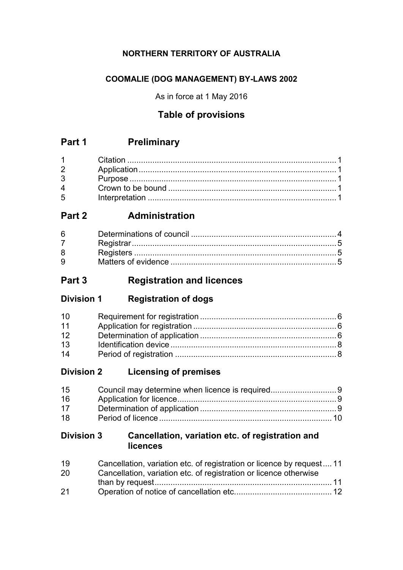# **NORTHERN TERRITORY OF AUSTRALIA**

# **COOMALIE (DOG MANAGEMENT) BY-LAWS 2002**

As in force at 1 May 2016

# **Table of provisions**

# **Part 1 Preliminary**

| $1 \quad \blacksquare$         |  |
|--------------------------------|--|
| $2 \left( \frac{1}{2} \right)$ |  |
| $3^{\circ}$                    |  |
| $\mathbf 4$                    |  |
| $5^{\circ}$                    |  |

# **Part 2 Administration**

| 6           |  |
|-------------|--|
|             |  |
| 8           |  |
| $9^{\circ}$ |  |

# **Part 3 Registration and licences**

| <b>Division 1</b> | <b>Registration of dogs</b> |
|-------------------|-----------------------------|
|-------------------|-----------------------------|

| 10 <sup>1</sup> |  |
|-----------------|--|
| 11              |  |
| 12              |  |
| 13              |  |
| 14              |  |

# **Division 2 Licensing of premises**

| 15              |  |
|-----------------|--|
| 16              |  |
| 17 <sup>7</sup> |  |
| 18              |  |

# **Division 3 Cancellation, variation etc. of registration and licences**

| 19 | Cancellation, variation etc. of registration or licence by request 11 |  |
|----|-----------------------------------------------------------------------|--|
| 20 | Cancellation, variation etc. of registration or licence otherwise     |  |
|    |                                                                       |  |
| 21 |                                                                       |  |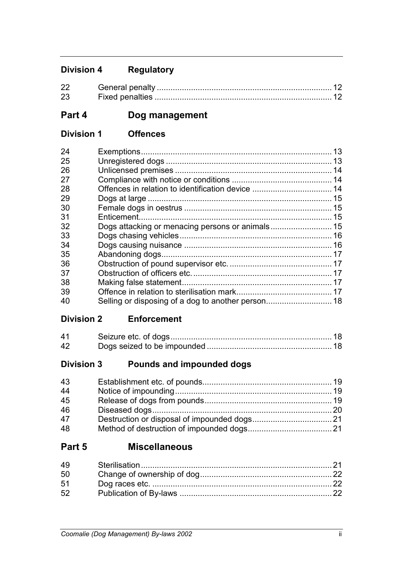# **Division 4 Regulatory**

| 22 | . General penalty |  |
|----|-------------------|--|
| 23 |                   |  |

# **Part 4 Dog management**

# **Division 1 Offences**

| 24 |                                                  |  |
|----|--------------------------------------------------|--|
| 25 |                                                  |  |
| 26 |                                                  |  |
| 27 |                                                  |  |
| 28 |                                                  |  |
| 29 |                                                  |  |
| 30 |                                                  |  |
| 31 |                                                  |  |
| 32 | Dogs attacking or menacing persons or animals 15 |  |
| 33 |                                                  |  |
| 34 |                                                  |  |
| 35 |                                                  |  |
| 36 |                                                  |  |
| 37 |                                                  |  |
| 38 |                                                  |  |
| 39 |                                                  |  |
| 40 |                                                  |  |

# **Division 2 Enforcement**

| 41 |  |
|----|--|
| 42 |  |

# **Division 3 Pounds and impounded dogs**

| 43 |  |
|----|--|
| 44 |  |
| 45 |  |
| 46 |  |
| 47 |  |
| 48 |  |

# **Part 5 Miscellaneous**

| 49 |  |
|----|--|
| 50 |  |
| 51 |  |
| 52 |  |
|    |  |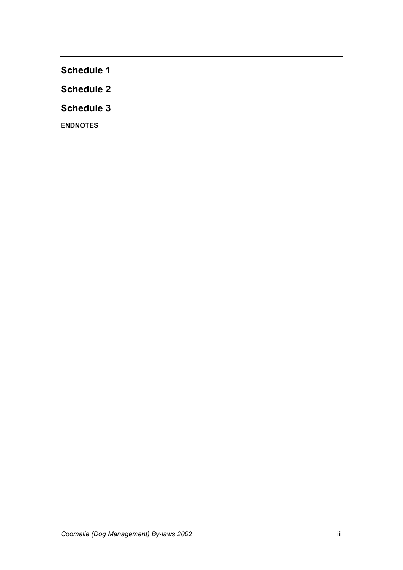**Schedule 1**

**Schedule 2**

**Schedule 3**

**ENDNOTES**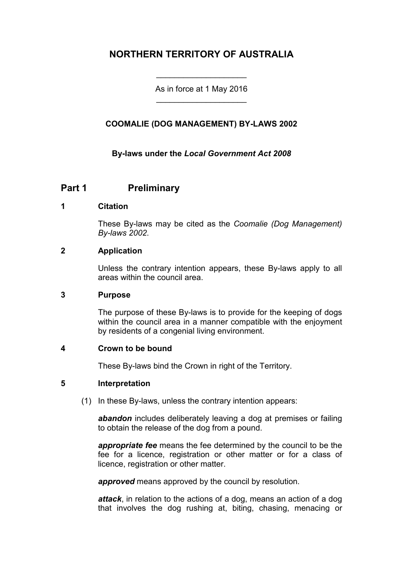# **NORTHERN TERRITORY OF AUSTRALIA**

As in force at 1 May 2016 \_\_\_\_\_\_\_\_\_\_\_\_\_\_\_\_\_\_\_\_

\_\_\_\_\_\_\_\_\_\_\_\_\_\_\_\_\_\_\_\_

# **COOMALIE (DOG MANAGEMENT) BY-LAWS 2002**

### **By-laws under the** *Local Government Act 2008*

# **Part 1 Preliminary**

#### **1 Citation**

These By-laws may be cited as the *Coomalie (Dog Management) By-laws 2002*.

#### **2 Application**

Unless the contrary intention appears, these By-laws apply to all areas within the council area.

#### **3 Purpose**

The purpose of these By-laws is to provide for the keeping of dogs within the council area in a manner compatible with the enjoyment by residents of a congenial living environment.

#### **4 Crown to be bound**

These By-laws bind the Crown in right of the Territory.

#### **5 Interpretation**

(1) In these By-laws, unless the contrary intention appears:

*abandon* includes deliberately leaving a dog at premises or failing to obtain the release of the dog from a pound.

*appropriate fee* means the fee determined by the council to be the fee for a licence, registration or other matter or for a class of licence, registration or other matter.

*approved* means approved by the council by resolution.

*attack*, in relation to the actions of a dog, means an action of a dog that involves the dog rushing at, biting, chasing, menacing or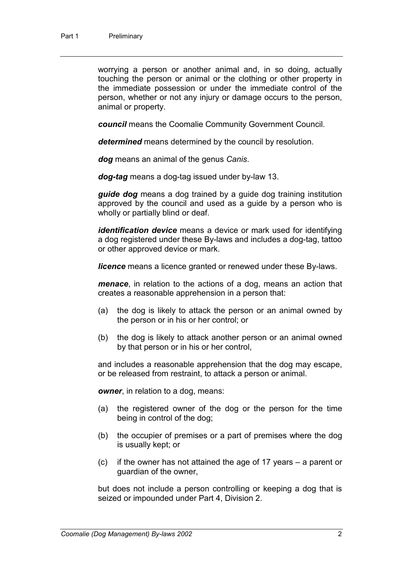worrying a person or another animal and, in so doing, actually touching the person or animal or the clothing or other property in the immediate possession or under the immediate control of the person, whether or not any injury or damage occurs to the person, animal or property.

*council* means the Coomalie Community Government Council.

*determined* means determined by the council by resolution.

*dog* means an animal of the genus *Canis*.

*dog-tag* means a dog-tag issued under by-law 13.

*guide dog* means a dog trained by a guide dog training institution approved by the council and used as a guide by a person who is wholly or partially blind or deaf.

*identification device* means a device or mark used for identifying a dog registered under these By-laws and includes a dog-tag, tattoo or other approved device or mark.

*licence* means a licence granted or renewed under these By-laws.

*menace*, in relation to the actions of a dog, means an action that creates a reasonable apprehension in a person that:

- (a) the dog is likely to attack the person or an animal owned by the person or in his or her control; or
- (b) the dog is likely to attack another person or an animal owned by that person or in his or her control,

and includes a reasonable apprehension that the dog may escape, or be released from restraint, to attack a person or animal.

*owner*, in relation to a dog, means:

- (a) the registered owner of the dog or the person for the time being in control of the dog;
- (b) the occupier of premises or a part of premises where the dog is usually kept; or
- (c) if the owner has not attained the age of 17 years a parent or guardian of the owner,

but does not include a person controlling or keeping a dog that is seized or impounded under Part 4, Division 2.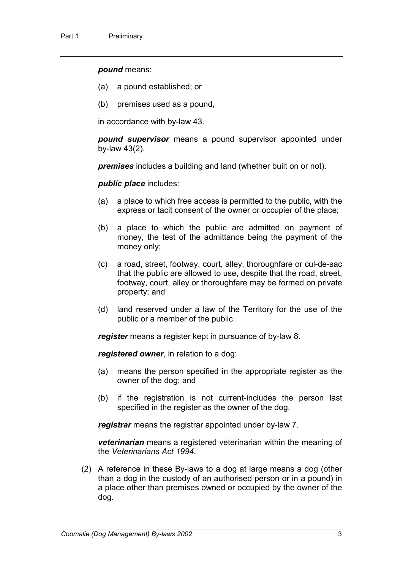#### *pound* means:

- (a) a pound established; or
- (b) premises used as a pound,

in accordance with by-law 43.

*pound supervisor* means a pound supervisor appointed under by-law 43(2).

*premises* includes a building and land (whether built on or not).

*public place* includes:

- (a) a place to which free access is permitted to the public, with the express or tacit consent of the owner or occupier of the place;
- (b) a place to which the public are admitted on payment of money, the test of the admittance being the payment of the money only;
- (c) a road, street, footway, court, alley, thoroughfare or cul-de-sac that the public are allowed to use, despite that the road, street, footway, court, alley or thoroughfare may be formed on private property; and
- (d) land reserved under a law of the Territory for the use of the public or a member of the public.

*register* means a register kept in pursuance of by-law 8.

*registered owner*, in relation to a dog:

- (a) means the person specified in the appropriate register as the owner of the dog; and
- (b) if the registration is not current-includes the person last specified in the register as the owner of the dog.

*registrar* means the registrar appointed under by-law 7.

*veterinarian* means a registered veterinarian within the meaning of the *Veterinarians Act 1994*.

(2) A reference in these By-laws to a dog at large means a dog (other than a dog in the custody of an authorised person or in a pound) in a place other than premises owned or occupied by the owner of the dog.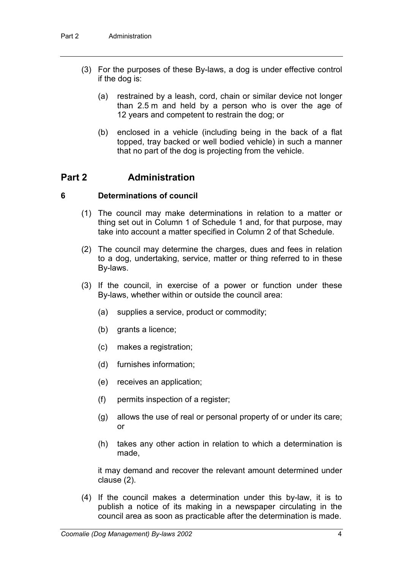- (3) For the purposes of these By-laws, a dog is under effective control if the dog is:
	- (a) restrained by a leash, cord, chain or similar device not longer than 2.5 m and held by a person who is over the age of 12 years and competent to restrain the dog; or
	- (b) enclosed in a vehicle (including being in the back of a flat topped, tray backed or well bodied vehicle) in such a manner that no part of the dog is projecting from the vehicle.

# **Part 2 Administration**

#### **6 Determinations of council**

- (1) The council may make determinations in relation to a matter or thing set out in Column 1 of Schedule 1 and, for that purpose, may take into account a matter specified in Column 2 of that Schedule.
- (2) The council may determine the charges, dues and fees in relation to a dog, undertaking, service, matter or thing referred to in these By-laws.
- (3) If the council, in exercise of a power or function under these By-laws, whether within or outside the council area:
	- (a) supplies a service, product or commodity;
	- (b) grants a licence;
	- (c) makes a registration;
	- (d) furnishes information;
	- (e) receives an application;
	- (f) permits inspection of a register;
	- (g) allows the use of real or personal property of or under its care; or
	- (h) takes any other action in relation to which a determination is made,

it may demand and recover the relevant amount determined under clause (2).

(4) If the council makes a determination under this by-law, it is to publish a notice of its making in a newspaper circulating in the council area as soon as practicable after the determination is made.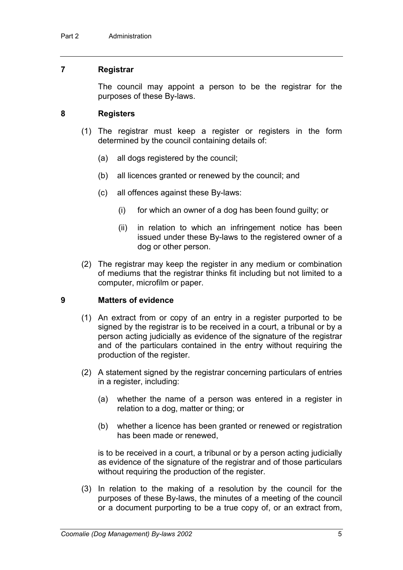#### **7 Registrar**

The council may appoint a person to be the registrar for the purposes of these By-laws.

#### **8 Registers**

- (1) The registrar must keep a register or registers in the form determined by the council containing details of:
	- (a) all dogs registered by the council;
	- (b) all licences granted or renewed by the council; and
	- (c) all offences against these By-laws:
		- (i) for which an owner of a dog has been found guilty; or
		- (ii) in relation to which an infringement notice has been issued under these By-laws to the registered owner of a dog or other person.
- (2) The registrar may keep the register in any medium or combination of mediums that the registrar thinks fit including but not limited to a computer, microfilm or paper.

### **9 Matters of evidence**

- (1) An extract from or copy of an entry in a register purported to be signed by the registrar is to be received in a court, a tribunal or by a person acting judicially as evidence of the signature of the registrar and of the particulars contained in the entry without requiring the production of the register.
- (2) A statement signed by the registrar concerning particulars of entries in a register, including:
	- (a) whether the name of a person was entered in a register in relation to a dog, matter or thing; or
	- (b) whether a licence has been granted or renewed or registration has been made or renewed,

is to be received in a court, a tribunal or by a person acting judicially as evidence of the signature of the registrar and of those particulars without requiring the production of the register.

(3) In relation to the making of a resolution by the council for the purposes of these By-laws, the minutes of a meeting of the council or a document purporting to be a true copy of, or an extract from,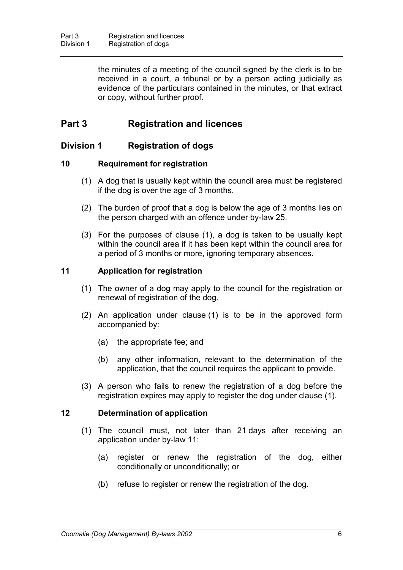the minutes of a meeting of the council signed by the clerk is to be received in a court, a tribunal or by a person acting judicially as evidence of the particulars contained in the minutes, or that extract or copy, without further proof.

# **Part 3 Registration and licences**

# **Division 1 Registration of dogs**

### **10 Requirement for registration**

- (1) A dog that is usually kept within the council area must be registered if the dog is over the age of 3 months.
- (2) The burden of proof that a dog is below the age of 3 months lies on the person charged with an offence under by-law 25.
- (3) For the purposes of clause (1), a dog is taken to be usually kept within the council area if it has been kept within the council area for a period of 3 months or more, ignoring temporary absences.

### **11 Application for registration**

- (1) The owner of a dog may apply to the council for the registration or renewal of registration of the dog.
- (2) An application under clause (1) is to be in the approved form accompanied by:
	- (a) the appropriate fee; and
	- (b) any other information, relevant to the determination of the application, that the council requires the applicant to provide.
- (3) A person who fails to renew the registration of a dog before the registration expires may apply to register the dog under clause (1).

#### **12 Determination of application**

- (1) The council must, not later than 21 days after receiving an application under by-law 11:
	- (a) register or renew the registration of the dog, either conditionally or unconditionally; or
	- (b) refuse to register or renew the registration of the dog.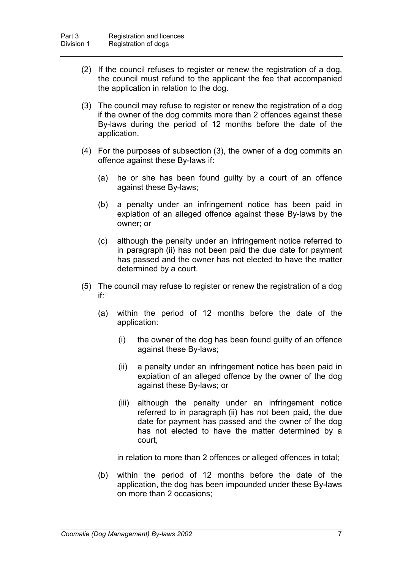- (2) If the council refuses to register or renew the registration of a dog, the council must refund to the applicant the fee that accompanied the application in relation to the dog.
- (3) The council may refuse to register or renew the registration of a dog if the owner of the dog commits more than 2 offences against these By-laws during the period of 12 months before the date of the application.
- (4) For the purposes of subsection (3), the owner of a dog commits an offence against these By-laws if:
	- (a) he or she has been found guilty by a court of an offence against these By-laws;
	- (b) a penalty under an infringement notice has been paid in expiation of an alleged offence against these By-laws by the owner; or
	- (c) although the penalty under an infringement notice referred to in paragraph (ii) has not been paid the due date for payment has passed and the owner has not elected to have the matter determined by a court.
- (5) The council may refuse to register or renew the registration of a dog if:
	- (a) within the period of 12 months before the date of the application:
		- (i) the owner of the dog has been found guilty of an offence against these By-laws;
		- (ii) a penalty under an infringement notice has been paid in expiation of an alleged offence by the owner of the dog against these By-laws; or
		- (iii) although the penalty under an infringement notice referred to in paragraph (ii) has not been paid, the due date for payment has passed and the owner of the dog has not elected to have the matter determined by a court,

in relation to more than 2 offences or alleged offences in total;

(b) within the period of 12 months before the date of the application, the dog has been impounded under these By-laws on more than 2 occasions;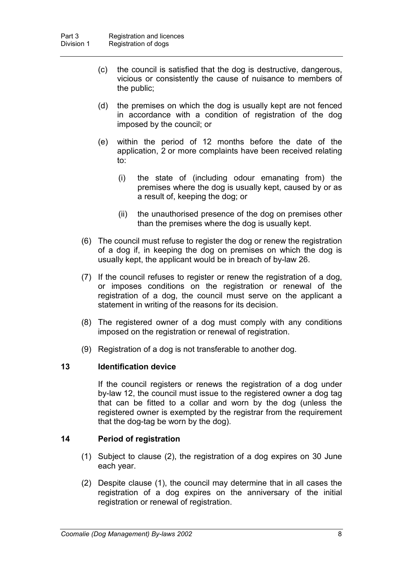- (c) the council is satisfied that the dog is destructive, dangerous, vicious or consistently the cause of nuisance to members of the public;
- (d) the premises on which the dog is usually kept are not fenced in accordance with a condition of registration of the dog imposed by the council; or
- (e) within the period of 12 months before the date of the application, 2 or more complaints have been received relating to:
	- (i) the state of (including odour emanating from) the premises where the dog is usually kept, caused by or as a result of, keeping the dog; or
	- (ii) the unauthorised presence of the dog on premises other than the premises where the dog is usually kept.
- (6) The council must refuse to register the dog or renew the registration of a dog if, in keeping the dog on premises on which the dog is usually kept, the applicant would be in breach of by-law 26.
- (7) If the council refuses to register or renew the registration of a dog, or imposes conditions on the registration or renewal of the registration of a dog, the council must serve on the applicant a statement in writing of the reasons for its decision.
- (8) The registered owner of a dog must comply with any conditions imposed on the registration or renewal of registration.
- (9) Registration of a dog is not transferable to another dog.

# **13 Identification device**

If the council registers or renews the registration of a dog under by-law 12, the council must issue to the registered owner a dog tag that can be fitted to a collar and worn by the dog (unless the registered owner is exempted by the registrar from the requirement that the dog-tag be worn by the dog).

# **14 Period of registration**

- (1) Subject to clause (2), the registration of a dog expires on 30 June each year.
- (2) Despite clause (1), the council may determine that in all cases the registration of a dog expires on the anniversary of the initial registration or renewal of registration.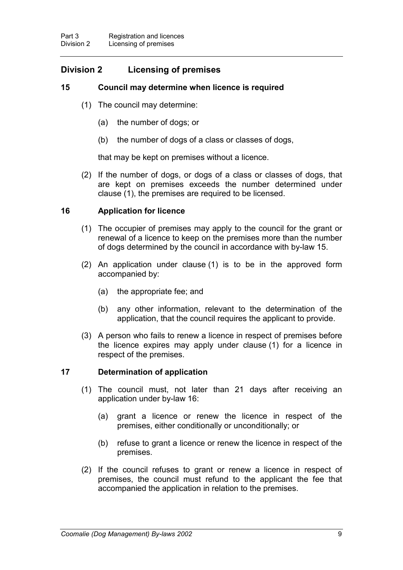# **Division 2 Licensing of premises**

### **15 Council may determine when licence is required**

- (1) The council may determine:
	- (a) the number of dogs; or
	- (b) the number of dogs of a class or classes of dogs,

that may be kept on premises without a licence.

(2) If the number of dogs, or dogs of a class or classes of dogs, that are kept on premises exceeds the number determined under clause (1), the premises are required to be licensed.

### **16 Application for licence**

- (1) The occupier of premises may apply to the council for the grant or renewal of a licence to keep on the premises more than the number of dogs determined by the council in accordance with by-law 15.
- (2) An application under clause (1) is to be in the approved form accompanied by:
	- (a) the appropriate fee; and
	- (b) any other information, relevant to the determination of the application, that the council requires the applicant to provide.
- (3) A person who fails to renew a licence in respect of premises before the licence expires may apply under clause (1) for a licence in respect of the premises.

#### **17 Determination of application**

- (1) The council must, not later than 21 days after receiving an application under by-law 16:
	- (a) grant a licence or renew the licence in respect of the premises, either conditionally or unconditionally; or
	- (b) refuse to grant a licence or renew the licence in respect of the premises.
- (2) If the council refuses to grant or renew a licence in respect of premises, the council must refund to the applicant the fee that accompanied the application in relation to the premises.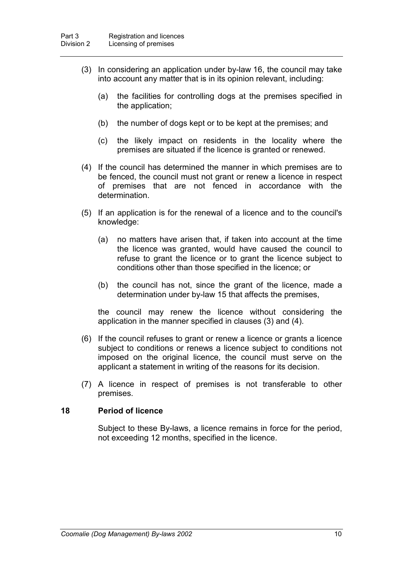- (3) In considering an application under by-law 16, the council may take into account any matter that is in its opinion relevant, including:
	- (a) the facilities for controlling dogs at the premises specified in the application;
	- (b) the number of dogs kept or to be kept at the premises; and
	- (c) the likely impact on residents in the locality where the premises are situated if the licence is granted or renewed.
- (4) If the council has determined the manner in which premises are to be fenced, the council must not grant or renew a licence in respect of premises that are not fenced in accordance with the determination.
- (5) If an application is for the renewal of a licence and to the council's knowledge:
	- (a) no matters have arisen that, if taken into account at the time the licence was granted, would have caused the council to refuse to grant the licence or to grant the licence subject to conditions other than those specified in the licence; or
	- (b) the council has not, since the grant of the licence, made a determination under by-law 15 that affects the premises,

the council may renew the licence without considering the application in the manner specified in clauses (3) and (4).

- (6) If the council refuses to grant or renew a licence or grants a licence subject to conditions or renews a licence subject to conditions not imposed on the original licence, the council must serve on the applicant a statement in writing of the reasons for its decision.
- (7) A licence in respect of premises is not transferable to other premises.

#### **18 Period of licence**

Subject to these By-laws, a licence remains in force for the period, not exceeding 12 months, specified in the licence.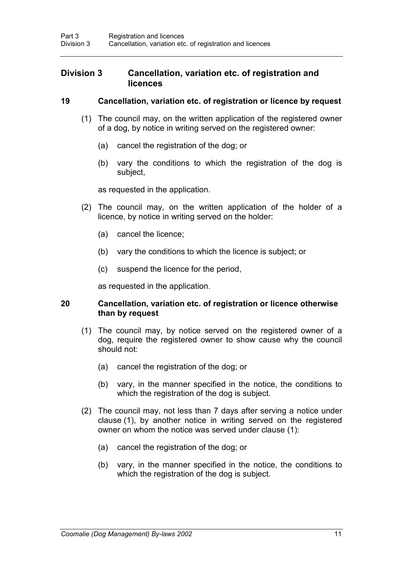# **Division 3 Cancellation, variation etc. of registration and licences**

#### **19 Cancellation, variation etc. of registration or licence by request**

- (1) The council may, on the written application of the registered owner of a dog, by notice in writing served on the registered owner:
	- (a) cancel the registration of the dog; or
	- (b) vary the conditions to which the registration of the dog is subject,

as requested in the application.

- (2) The council may, on the written application of the holder of a licence, by notice in writing served on the holder:
	- (a) cancel the licence;
	- (b) vary the conditions to which the licence is subject; or
	- (c) suspend the licence for the period,

as requested in the application.

#### **20 Cancellation, variation etc. of registration or licence otherwise than by request**

- (1) The council may, by notice served on the registered owner of a dog, require the registered owner to show cause why the council should not:
	- (a) cancel the registration of the dog; or
	- (b) vary, in the manner specified in the notice, the conditions to which the registration of the dog is subject.
- (2) The council may, not less than 7 days after serving a notice under clause (1), by another notice in writing served on the registered owner on whom the notice was served under clause (1):
	- (a) cancel the registration of the dog; or
	- (b) vary, in the manner specified in the notice, the conditions to which the registration of the dog is subject.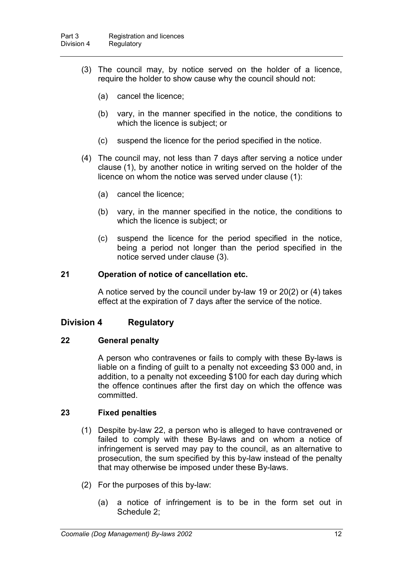- (3) The council may, by notice served on the holder of a licence, require the holder to show cause why the council should not:
	- (a) cancel the licence;
	- (b) vary, in the manner specified in the notice, the conditions to which the licence is subject; or
	- (c) suspend the licence for the period specified in the notice.
- (4) The council may, not less than 7 days after serving a notice under clause (1), by another notice in writing served on the holder of the licence on whom the notice was served under clause (1):
	- (a) cancel the licence;
	- (b) vary, in the manner specified in the notice, the conditions to which the licence is subject; or
	- (c) suspend the licence for the period specified in the notice, being a period not longer than the period specified in the notice served under clause (3).

#### **21 Operation of notice of cancellation etc.**

A notice served by the council under by-law 19 or 20(2) or (4) takes effect at the expiration of 7 days after the service of the notice.

# **Division 4 Regulatory**

#### **22 General penalty**

A person who contravenes or fails to comply with these By-laws is liable on a finding of guilt to a penalty not exceeding \$3 000 and, in addition, to a penalty not exceeding \$100 for each day during which the offence continues after the first day on which the offence was committed.

#### **23 Fixed penalties**

- (1) Despite by-law 22, a person who is alleged to have contravened or failed to comply with these By-laws and on whom a notice of infringement is served may pay to the council, as an alternative to prosecution, the sum specified by this by-law instead of the penalty that may otherwise be imposed under these By-laws.
- (2) For the purposes of this by-law:
	- (a) a notice of infringement is to be in the form set out in Schedule 2;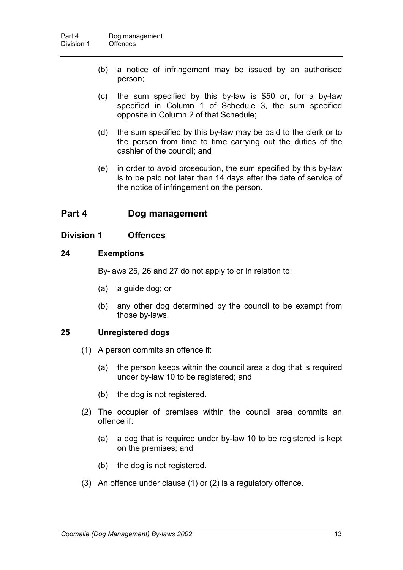- (b) a notice of infringement may be issued by an authorised person;
- (c) the sum specified by this by-law is \$50 or, for a by-law specified in Column 1 of Schedule 3, the sum specified opposite in Column 2 of that Schedule;
- (d) the sum specified by this by-law may be paid to the clerk or to the person from time to time carrying out the duties of the cashier of the council; and
- (e) in order to avoid prosecution, the sum specified by this by-law is to be paid not later than 14 days after the date of service of the notice of infringement on the person.

# **Part 4 Dog management**

### **Division 1 Offences**

#### **24 Exemptions**

By-laws 25, 26 and 27 do not apply to or in relation to:

- (a) a guide dog; or
- (b) any other dog determined by the council to be exempt from those by-laws.

# **25 Unregistered dogs**

- (1) A person commits an offence if:
	- (a) the person keeps within the council area a dog that is required under by-law 10 to be registered; and
	- (b) the dog is not registered.
- (2) The occupier of premises within the council area commits an offence if:
	- (a) a dog that is required under by-law 10 to be registered is kept on the premises; and
	- (b) the dog is not registered.
- (3) An offence under clause (1) or (2) is a regulatory offence.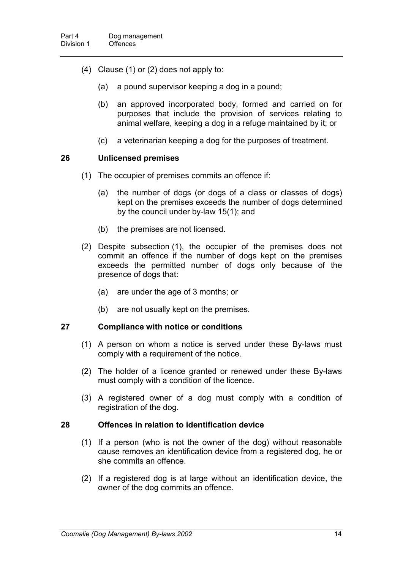- (4) Clause (1) or (2) does not apply to:
	- (a) a pound supervisor keeping a dog in a pound;
	- (b) an approved incorporated body, formed and carried on for purposes that include the provision of services relating to animal welfare, keeping a dog in a refuge maintained by it; or
	- (c) a veterinarian keeping a dog for the purposes of treatment.

#### **26 Unlicensed premises**

- (1) The occupier of premises commits an offence if:
	- (a) the number of dogs (or dogs of a class or classes of dogs) kept on the premises exceeds the number of dogs determined by the council under by-law 15(1); and
	- (b) the premises are not licensed.
- (2) Despite subsection (1), the occupier of the premises does not commit an offence if the number of dogs kept on the premises exceeds the permitted number of dogs only because of the presence of dogs that:
	- (a) are under the age of 3 months; or
	- (b) are not usually kept on the premises.

#### **27 Compliance with notice or conditions**

- (1) A person on whom a notice is served under these By-laws must comply with a requirement of the notice.
- (2) The holder of a licence granted or renewed under these By-laws must comply with a condition of the licence.
- (3) A registered owner of a dog must comply with a condition of registration of the dog.

#### **28 Offences in relation to identification device**

- (1) If a person (who is not the owner of the dog) without reasonable cause removes an identification device from a registered dog, he or she commits an offence.
- (2) If a registered dog is at large without an identification device, the owner of the dog commits an offence.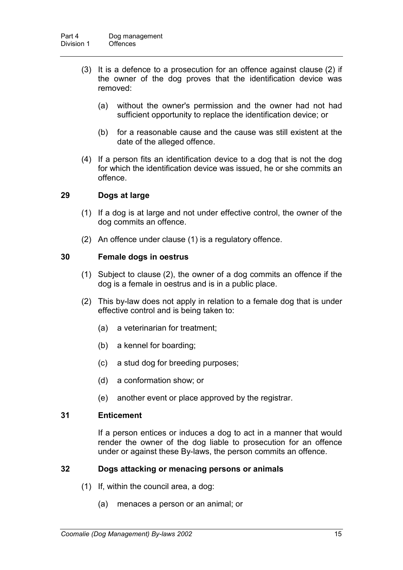- (3) It is a defence to a prosecution for an offence against clause (2) if the owner of the dog proves that the identification device was removed:
	- (a) without the owner's permission and the owner had not had sufficient opportunity to replace the identification device; or
	- (b) for a reasonable cause and the cause was still existent at the date of the alleged offence.
- (4) If a person fits an identification device to a dog that is not the dog for which the identification device was issued, he or she commits an offence.

#### **29 Dogs at large**

- (1) If a dog is at large and not under effective control, the owner of the dog commits an offence.
- (2) An offence under clause (1) is a regulatory offence.

#### **30 Female dogs in oestrus**

- (1) Subject to clause (2), the owner of a dog commits an offence if the dog is a female in oestrus and is in a public place.
- (2) This by-law does not apply in relation to a female dog that is under effective control and is being taken to:
	- (a) a veterinarian for treatment;
	- (b) a kennel for boarding;
	- (c) a stud dog for breeding purposes;
	- (d) a conformation show; or
	- (e) another event or place approved by the registrar.

#### **31 Enticement**

If a person entices or induces a dog to act in a manner that would render the owner of the dog liable to prosecution for an offence under or against these By-laws, the person commits an offence.

#### **32 Dogs attacking or menacing persons or animals**

- (1) If, within the council area, a dog:
	- (a) menaces a person or an animal; or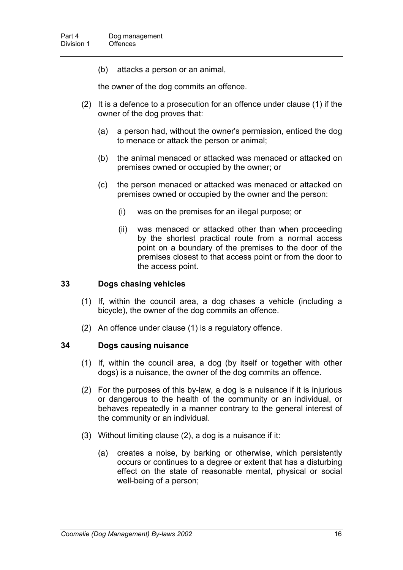(b) attacks a person or an animal,

the owner of the dog commits an offence.

- (2) It is a defence to a prosecution for an offence under clause (1) if the owner of the dog proves that:
	- (a) a person had, without the owner's permission, enticed the dog to menace or attack the person or animal;
	- (b) the animal menaced or attacked was menaced or attacked on premises owned or occupied by the owner; or
	- (c) the person menaced or attacked was menaced or attacked on premises owned or occupied by the owner and the person:
		- (i) was on the premises for an illegal purpose; or
		- (ii) was menaced or attacked other than when proceeding by the shortest practical route from a normal access point on a boundary of the premises to the door of the premises closest to that access point or from the door to the access point.

#### **33 Dogs chasing vehicles**

- (1) If, within the council area, a dog chases a vehicle (including a bicycle), the owner of the dog commits an offence.
- (2) An offence under clause (1) is a regulatory offence.

#### **34 Dogs causing nuisance**

- (1) If, within the council area, a dog (by itself or together with other dogs) is a nuisance, the owner of the dog commits an offence.
- (2) For the purposes of this by-law, a dog is a nuisance if it is injurious or dangerous to the health of the community or an individual, or behaves repeatedly in a manner contrary to the general interest of the community or an individual.
- (3) Without limiting clause (2), a dog is a nuisance if it:
	- (a) creates a noise, by barking or otherwise, which persistently occurs or continues to a degree or extent that has a disturbing effect on the state of reasonable mental, physical or social well-being of a person;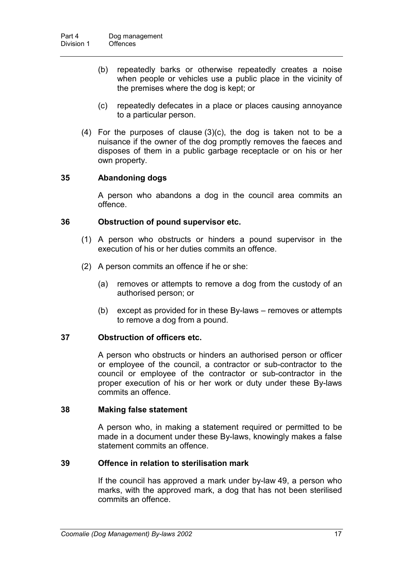- (b) repeatedly barks or otherwise repeatedly creates a noise when people or vehicles use a public place in the vicinity of the premises where the dog is kept; or
- (c) repeatedly defecates in a place or places causing annoyance to a particular person.
- (4) For the purposes of clause (3)(c), the dog is taken not to be a nuisance if the owner of the dog promptly removes the faeces and disposes of them in a public garbage receptacle or on his or her own property.

#### **35 Abandoning dogs**

A person who abandons a dog in the council area commits an offence.

#### **36 Obstruction of pound supervisor etc.**

- (1) A person who obstructs or hinders a pound supervisor in the execution of his or her duties commits an offence.
- (2) A person commits an offence if he or she:
	- (a) removes or attempts to remove a dog from the custody of an authorised person; or
	- (b) except as provided for in these By-laws removes or attempts to remove a dog from a pound.

### **37 Obstruction of officers etc.**

A person who obstructs or hinders an authorised person or officer or employee of the council, a contractor or sub-contractor to the council or employee of the contractor or sub-contractor in the proper execution of his or her work or duty under these By-laws commits an offence.

#### **38 Making false statement**

A person who, in making a statement required or permitted to be made in a document under these By-laws, knowingly makes a false statement commits an offence.

### **39 Offence in relation to sterilisation mark**

If the council has approved a mark under by-law 49, a person who marks, with the approved mark, a dog that has not been sterilised commits an offence.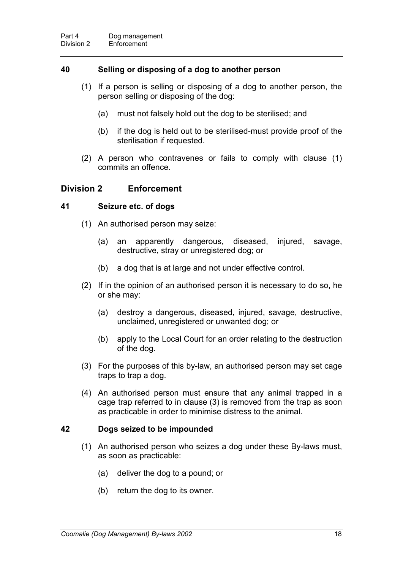#### **40 Selling or disposing of a dog to another person**

- (1) If a person is selling or disposing of a dog to another person, the person selling or disposing of the dog:
	- (a) must not falsely hold out the dog to be sterilised; and
	- (b) if the dog is held out to be sterilised-must provide proof of the sterilisation if requested.
- (2) A person who contravenes or fails to comply with clause (1) commits an offence.

### **Division 2 Enforcement**

#### **41 Seizure etc. of dogs**

- (1) An authorised person may seize:
	- (a) an apparently dangerous, diseased, injured, savage, destructive, stray or unregistered dog; or
	- (b) a dog that is at large and not under effective control.
- (2) If in the opinion of an authorised person it is necessary to do so, he or she may:
	- (a) destroy a dangerous, diseased, injured, savage, destructive, unclaimed, unregistered or unwanted dog; or
	- (b) apply to the Local Court for an order relating to the destruction of the dog.
- (3) For the purposes of this by-law, an authorised person may set cage traps to trap a dog.
- (4) An authorised person must ensure that any animal trapped in a cage trap referred to in clause (3) is removed from the trap as soon as practicable in order to minimise distress to the animal.

#### **42 Dogs seized to be impounded**

- (1) An authorised person who seizes a dog under these By-laws must, as soon as practicable:
	- (a) deliver the dog to a pound; or
	- (b) return the dog to its owner.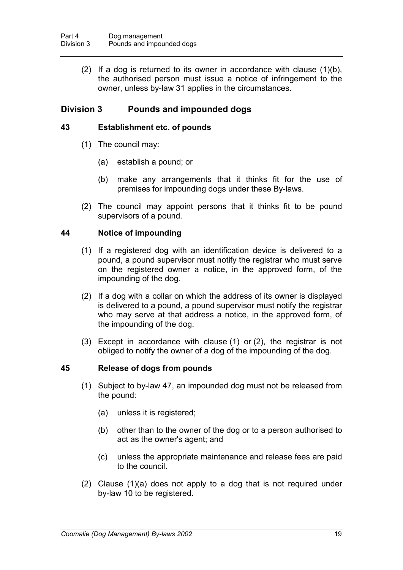(2) If a dog is returned to its owner in accordance with clause  $(1)(b)$ , the authorised person must issue a notice of infringement to the owner, unless by-law 31 applies in the circumstances.

# **Division 3 Pounds and impounded dogs**

### **43 Establishment etc. of pounds**

- (1) The council may:
	- (a) establish a pound; or
	- (b) make any arrangements that it thinks fit for the use of premises for impounding dogs under these By-laws.
- (2) The council may appoint persons that it thinks fit to be pound supervisors of a pound.

#### **44 Notice of impounding**

- (1) If a registered dog with an identification device is delivered to a pound, a pound supervisor must notify the registrar who must serve on the registered owner a notice, in the approved form, of the impounding of the dog.
- (2) If a dog with a collar on which the address of its owner is displayed is delivered to a pound, a pound supervisor must notify the registrar who may serve at that address a notice, in the approved form, of the impounding of the dog.
- (3) Except in accordance with clause (1) or (2), the registrar is not obliged to notify the owner of a dog of the impounding of the dog.

#### **45 Release of dogs from pounds**

- (1) Subject to by-law 47, an impounded dog must not be released from the pound:
	- (a) unless it is registered;
	- (b) other than to the owner of the dog or to a person authorised to act as the owner's agent; and
	- (c) unless the appropriate maintenance and release fees are paid to the council.
- (2) Clause (1)(a) does not apply to a dog that is not required under by-law 10 to be registered.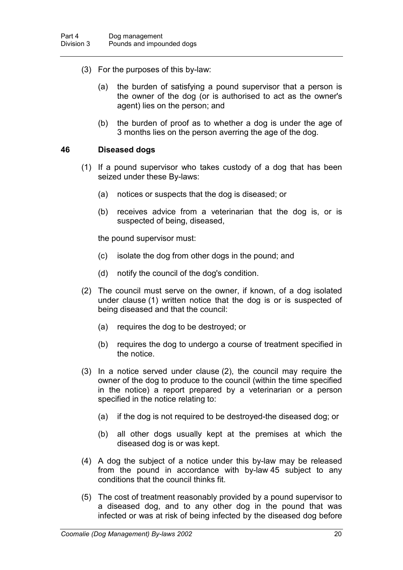- (3) For the purposes of this by-law:
	- (a) the burden of satisfying a pound supervisor that a person is the owner of the dog (or is authorised to act as the owner's agent) lies on the person; and
	- (b) the burden of proof as to whether a dog is under the age of 3 months lies on the person averring the age of the dog.

#### **46 Diseased dogs**

- (1) If a pound supervisor who takes custody of a dog that has been seized under these By-laws:
	- (a) notices or suspects that the dog is diseased; or
	- (b) receives advice from a veterinarian that the dog is, or is suspected of being, diseased,

the pound supervisor must:

- (c) isolate the dog from other dogs in the pound; and
- (d) notify the council of the dog's condition.
- (2) The council must serve on the owner, if known, of a dog isolated under clause (1) written notice that the dog is or is suspected of being diseased and that the council:
	- (a) requires the dog to be destroyed; or
	- (b) requires the dog to undergo a course of treatment specified in the notice.
- (3) In a notice served under clause (2), the council may require the owner of the dog to produce to the council (within the time specified in the notice) a report prepared by a veterinarian or a person specified in the notice relating to:
	- (a) if the dog is not required to be destroyed-the diseased dog; or
	- (b) all other dogs usually kept at the premises at which the diseased dog is or was kept.
- (4) A dog the subject of a notice under this by-law may be released from the pound in accordance with by-law 45 subject to any conditions that the council thinks fit.
- (5) The cost of treatment reasonably provided by a pound supervisor to a diseased dog, and to any other dog in the pound that was infected or was at risk of being infected by the diseased dog before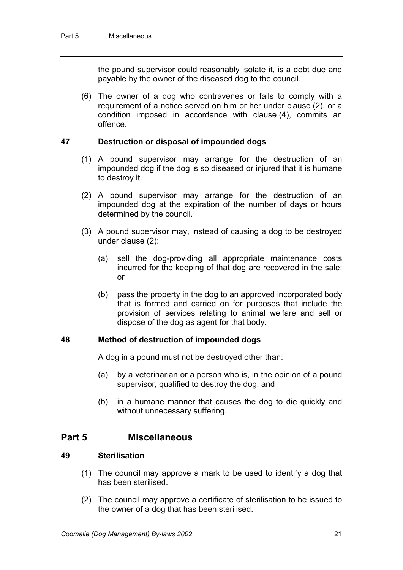the pound supervisor could reasonably isolate it, is a debt due and payable by the owner of the diseased dog to the council.

(6) The owner of a dog who contravenes or fails to comply with a requirement of a notice served on him or her under clause (2), or a condition imposed in accordance with clause (4), commits an offence.

### **47 Destruction or disposal of impounded dogs**

- (1) A pound supervisor may arrange for the destruction of an impounded dog if the dog is so diseased or injured that it is humane to destroy it.
- (2) A pound supervisor may arrange for the destruction of an impounded dog at the expiration of the number of days or hours determined by the council.
- (3) A pound supervisor may, instead of causing a dog to be destroyed under clause (2):
	- (a) sell the dog-providing all appropriate maintenance costs incurred for the keeping of that dog are recovered in the sale; or
	- (b) pass the property in the dog to an approved incorporated body that is formed and carried on for purposes that include the provision of services relating to animal welfare and sell or dispose of the dog as agent for that body.

#### **48 Method of destruction of impounded dogs**

A dog in a pound must not be destroyed other than:

- (a) by a veterinarian or a person who is, in the opinion of a pound supervisor, qualified to destroy the dog; and
- (b) in a humane manner that causes the dog to die quickly and without unnecessary suffering.

# **Part 5 Miscellaneous**

### **49 Sterilisation**

- (1) The council may approve a mark to be used to identify a dog that has been sterilised.
- (2) The council may approve a certificate of sterilisation to be issued to the owner of a dog that has been sterilised.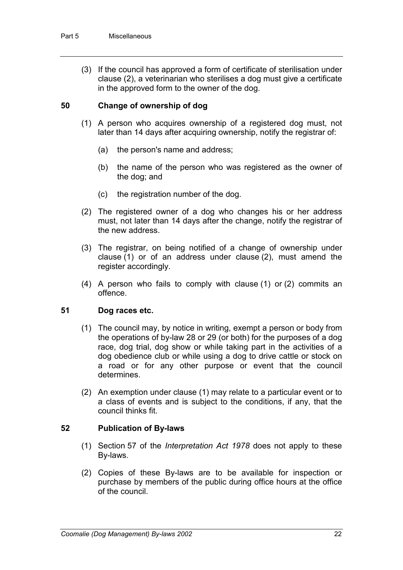(3) If the council has approved a form of certificate of sterilisation under clause (2), a veterinarian who sterilises a dog must give a certificate in the approved form to the owner of the dog.

### **50 Change of ownership of dog**

- (1) A person who acquires ownership of a registered dog must, not later than 14 days after acquiring ownership, notify the registrar of:
	- (a) the person's name and address;
	- (b) the name of the person who was registered as the owner of the dog; and
	- (c) the registration number of the dog.
- (2) The registered owner of a dog who changes his or her address must, not later than 14 days after the change, notify the registrar of the new address.
- (3) The registrar, on being notified of a change of ownership under clause (1) or of an address under clause (2), must amend the register accordingly.
- (4) A person who fails to comply with clause (1) or (2) commits an offence.

#### **51 Dog races etc.**

- (1) The council may, by notice in writing, exempt a person or body from the operations of by-law 28 or 29 (or both) for the purposes of a dog race, dog trial, dog show or while taking part in the activities of a dog obedience club or while using a dog to drive cattle or stock on a road or for any other purpose or event that the council determines.
- (2) An exemption under clause (1) may relate to a particular event or to a class of events and is subject to the conditions, if any, that the council thinks fit.

#### **52 Publication of By-laws**

- (1) Section 57 of the *Interpretation Act 1978* does not apply to these By-laws.
- (2) Copies of these By-laws are to be available for inspection or purchase by members of the public during office hours at the office of the council.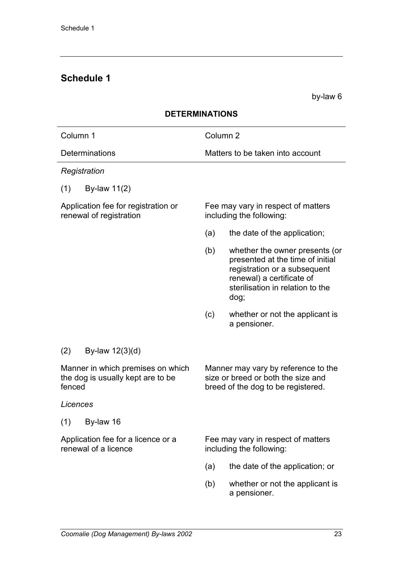# **Schedule 1**

by-law 6

| <b>JE I ENIVIIIVA I IUIVJ</b>                                                    |                                                                                                                                                                                    |  |  |  |
|----------------------------------------------------------------------------------|------------------------------------------------------------------------------------------------------------------------------------------------------------------------------------|--|--|--|
| Column 1                                                                         | Column <sub>2</sub>                                                                                                                                                                |  |  |  |
| <b>Determinations</b>                                                            | Matters to be taken into account                                                                                                                                                   |  |  |  |
| Registration                                                                     |                                                                                                                                                                                    |  |  |  |
| By-law 11(2)<br>(1)                                                              |                                                                                                                                                                                    |  |  |  |
| Application fee for registration or<br>renewal of registration                   | Fee may vary in respect of matters<br>including the following:                                                                                                                     |  |  |  |
|                                                                                  | (a)<br>the date of the application;                                                                                                                                                |  |  |  |
|                                                                                  | whether the owner presents (or<br>(b)<br>presented at the time of initial<br>registration or a subsequent<br>renewal) a certificate of<br>sterilisation in relation to the<br>dog; |  |  |  |
|                                                                                  | (c)<br>whether or not the applicant is<br>a pensioner.                                                                                                                             |  |  |  |
| (2)<br>By-law $12(3)(d)$                                                         |                                                                                                                                                                                    |  |  |  |
| Manner in which premises on which<br>the dog is usually kept are to be<br>fenced | Manner may vary by reference to the<br>size or breed or both the size and<br>breed of the dog to be registered.                                                                    |  |  |  |
| Licences                                                                         |                                                                                                                                                                                    |  |  |  |
| By-law 16<br>(1)                                                                 |                                                                                                                                                                                    |  |  |  |
| Application fee for a licence or a<br>renewal of a licence                       | Fee may vary in respect of matters<br>including the following:                                                                                                                     |  |  |  |
|                                                                                  | the date of the application; or<br>(a)                                                                                                                                             |  |  |  |
|                                                                                  | (b)<br>whether or not the applicant is<br>a pensioner.                                                                                                                             |  |  |  |

# **DETERMINATIONS**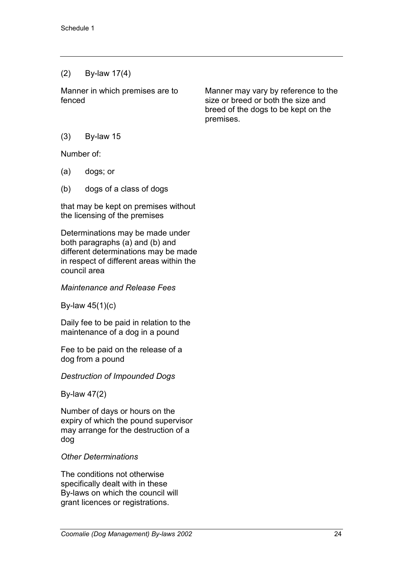# (2) By-law 17(4)

Manner in which premises are to fenced

Manner may vary by reference to the size or breed or both the size and breed of the dogs to be kept on the premises.

(3) By-law 15

Number of:

- (a) dogs; or
- (b) dogs of a class of dogs

that may be kept on premises without the licensing of the premises

Determinations may be made under both paragraphs (a) and (b) and different determinations may be made in respect of different areas within the council area

### *Maintenance and Release Fees*

By-law 45(1)(c)

Daily fee to be paid in relation to the maintenance of a dog in a pound

Fee to be paid on the release of a dog from a pound

*Destruction of Impounded Dogs*

By-law 47(2)

Number of days or hours on the expiry of which the pound supervisor may arrange for the destruction of a dog

# *Other Determinations*

The conditions not otherwise specifically dealt with in these By-laws on which the council will grant licences or registrations.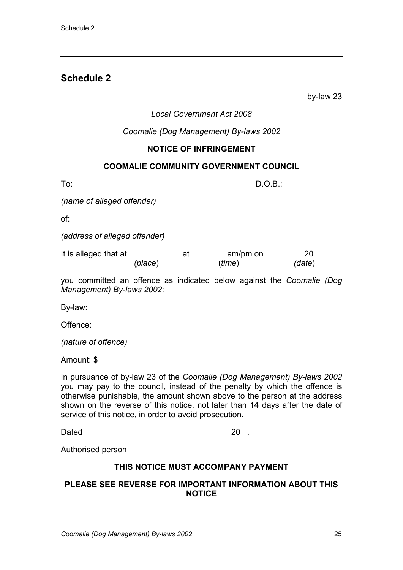# **Schedule 2**

by-law 23

### *Local Government Act 2008*

*Coomalie (Dog Management) By-laws 2002*

### **NOTICE OF INFRINGEMENT**

#### **COOMALIE COMMUNITY GOVERNMENT COUNCIL**

To: D.O.B.:

*(name of alleged offender)*

of:

*(address of alleged offender)*

| It is alleged that at |         | at | am/pm on | 20     |
|-----------------------|---------|----|----------|--------|
|                       | (place) |    | (ime)    | (date) |

you committed an offence as indicated below against the *Coomalie (Dog Management) By-laws 2002*:

By-law:

Offence:

*(nature of offence)*

Amount: \$

In pursuance of by-law 23 of the *Coomalie (Dog Management) By-laws 2002* you may pay to the council, instead of the penalty by which the offence is otherwise punishable, the amount shown above to the person at the address shown on the reverse of this notice, not later than 14 days after the date of service of this notice, in order to avoid prosecution.

Dated 20 .

Authorised person

#### **THIS NOTICE MUST ACCOMPANY PAYMENT**

#### **PLEASE SEE REVERSE FOR IMPORTANT INFORMATION ABOUT THIS NOTICE**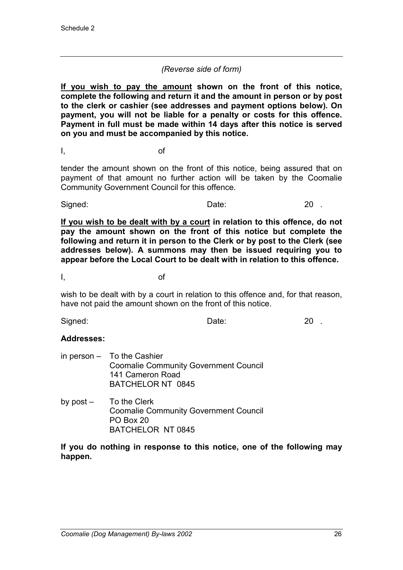### *(Reverse side of form)*

**If you wish to pay the amount shown on the front of this notice, complete the following and return it and the amount in person or by post to the clerk or cashier (see addresses and payment options below). On payment, you will not be liable for a penalty or costs for this offence. Payment in full must be made within 14 days after this notice is served on you and must be accompanied by this notice.**

I, of

tender the amount shown on the front of this notice, being assured that on payment of that amount no further action will be taken by the Coomalie Community Government Council for this offence.

Signed: Date: 20 .

**If you wish to be dealt with by a court in relation to this offence, do not pay the amount shown on the front of this notice but complete the following and return it in person to the Clerk or by post to the Clerk (see addresses below). A summons may then be issued requiring you to appear before the Local Court to be dealt with in relation to this offence.**

I, of

wish to be dealt with by a court in relation to this offence and, for that reason, have not paid the amount shown on the front of this notice.

Signed: Date: 20 .

#### **Addresses:**

- in person To the Cashier Coomalie Community Government Council 141 Cameron Road BATCHELOR NT 0845
- by post To the Clerk Coomalie Community Government Council PO Box 20 BATCHELOR NT 0845

**If you do nothing in response to this notice, one of the following may happen.**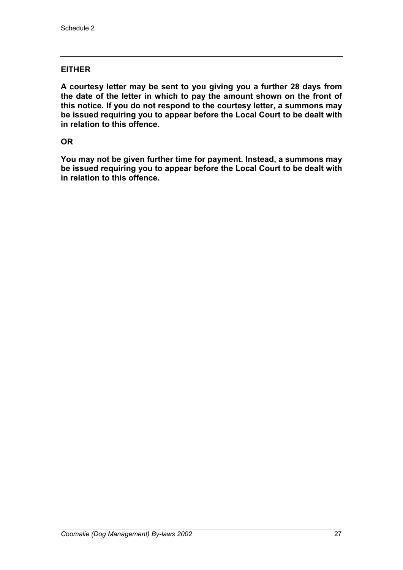### **EITHER**

**A courtesy letter may be sent to you giving you a further 28 days from the date of the letter in which to pay the amount shown on the front of this notice. If you do not respond to the courtesy letter, a summons may be issued requiring you to appear before the Local Court to be dealt with in relation to this offence.**

### **OR**

**You may not be given further time for payment. Instead, a summons may be issued requiring you to appear before the Local Court to be dealt with in relation to this offence.**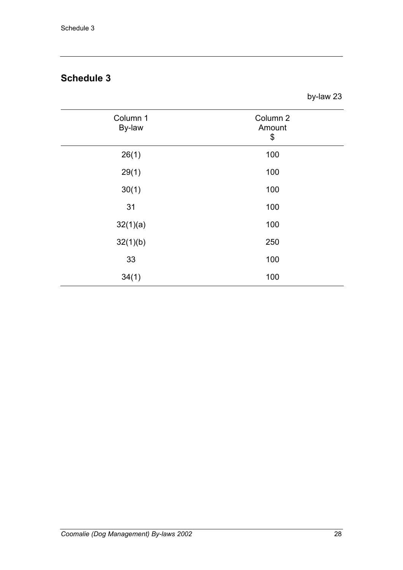# **Schedule 3**

by-law 23

| Column 1<br>By-law | Column <sub>2</sub><br>Amount<br>\$ |
|--------------------|-------------------------------------|
| 26(1)              | 100                                 |
| 29(1)              | 100                                 |
| 30(1)              | 100                                 |
| 31                 | 100                                 |
| 32(1)(a)           | 100                                 |
| 32(1)(b)           | 250                                 |
| 33                 | 100                                 |
| 34(1)              | 100                                 |